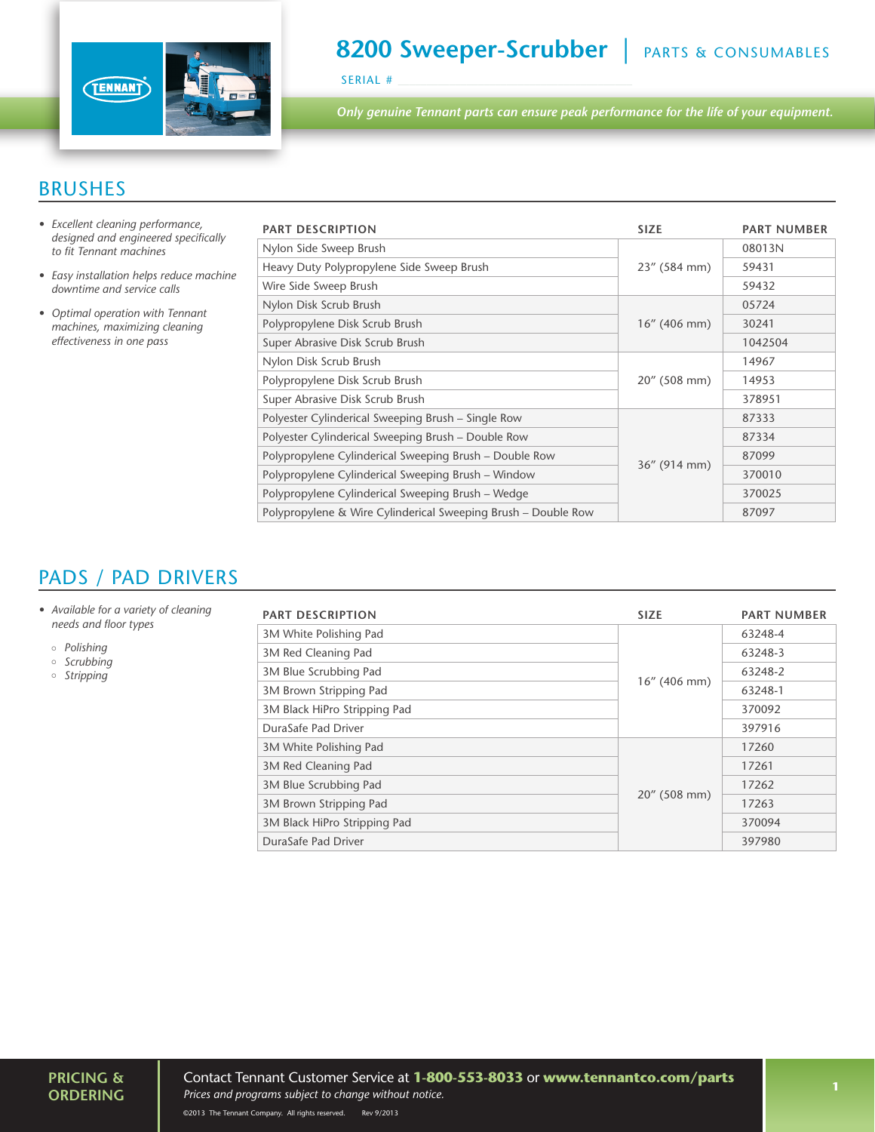

# **8200 Sweeper-Scrubber** | PARTS & CONSUMABLES

SERIAL #

*Only genuine Tennant parts can ensure peak performance for the life of your equipment.*

#### BRUSHES

- *• Excellent cleaning performance, designed and engineered specifically to fit Tennant machines*
- *• Easy installation helps reduce machine downtime and service calls*
- *• Optimal operation with Tennant machines, maximizing cleaning effectiveness in one pass*

| <b>PART DESCRIPTION</b>                                       | <b>SIZE</b>     | <b>PART NUMBER</b> |
|---------------------------------------------------------------|-----------------|--------------------|
| Nylon Side Sweep Brush                                        | 23" (584 mm)    | 08013N             |
| Heavy Duty Polypropylene Side Sweep Brush                     |                 | 59431              |
| Wire Side Sweep Brush                                         |                 | 59432              |
| Nylon Disk Scrub Brush                                        | $16''$ (406 mm) | 05724              |
| Polypropylene Disk Scrub Brush                                |                 | 30241              |
| Super Abrasive Disk Scrub Brush                               |                 | 1042504            |
| Nylon Disk Scrub Brush                                        | 20" (508 mm)    | 14967              |
| Polypropylene Disk Scrub Brush                                |                 | 14953              |
| Super Abrasive Disk Scrub Brush                               |                 | 378951             |
| Polyester Cylinderical Sweeping Brush – Single Row            | $36''$ (914 mm) | 87333              |
| Polyester Cylinderical Sweeping Brush - Double Row            |                 | 87334              |
| Polypropylene Cylinderical Sweeping Brush – Double Row        |                 | 87099              |
| Polypropylene Cylinderical Sweeping Brush - Window            |                 | 370010             |
| Polypropylene Cylinderical Sweeping Brush – Wedge             |                 | 370025             |
| Polypropylene & Wire Cylinderical Sweeping Brush - Double Row |                 | 87097              |

### PADS / PAD DRIVERS

- *• Available for a variety of cleaning needs and floor types*
	- *Polishing*
	- *Scrubbing*
	- *Stripping*

| <b>PART DESCRIPTION</b>      | <b>SIZE</b>     | <b>PART NUMBER</b> |
|------------------------------|-----------------|--------------------|
| 3M White Polishing Pad       | $16''$ (406 mm) | 63248-4            |
| 3M Red Cleaning Pad          |                 | 63248-3            |
| 3M Blue Scrubbing Pad        |                 | 63248-2            |
| 3M Brown Stripping Pad       |                 | 63248-1            |
| 3M Black HiPro Stripping Pad |                 | 370092             |
| DuraSafe Pad Driver          |                 | 397916             |
| 3M White Polishing Pad       | 20" (508 mm)    | 17260              |
| 3M Red Cleaning Pad          |                 | 17261              |
| 3M Blue Scrubbing Pad        |                 | 17262              |
| 3M Brown Stripping Pad       |                 | 17263              |
| 3M Black HiPro Stripping Pad |                 | 370094             |
| DuraSafe Pad Driver          |                 | 397980             |